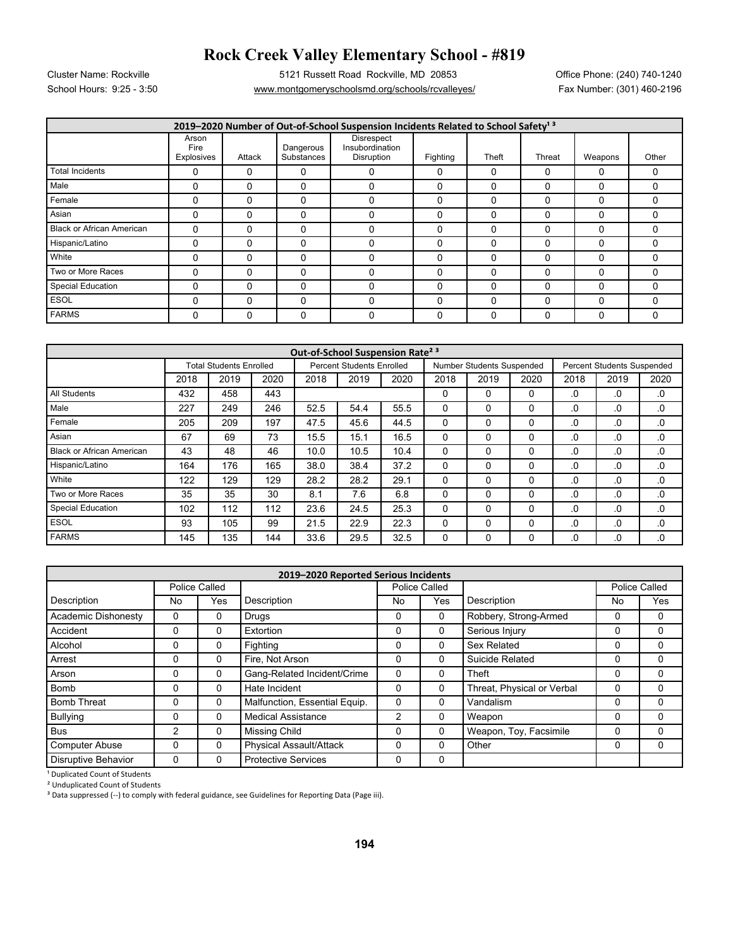## **Rock Creek Valley Elementary School - #819**

School Hours: 9:25 - 3:50 <u>www.montgomeryschoolsmd.org/schools/rcvalleyes/</u> Fax Number: (301) 460-2196 Cluster Name: Rockville 5121 Russett Road Rockville, MD 20853 Office Phone: (240) 740-1240

| 2019-2020 Number of Out-of-School Suspension Incidents Related to School Safety <sup>13</sup> |                             |          |                         |                                             |          |             |        |          |          |  |  |  |
|-----------------------------------------------------------------------------------------------|-----------------------------|----------|-------------------------|---------------------------------------------|----------|-------------|--------|----------|----------|--|--|--|
|                                                                                               | Arson<br>Fire<br>Explosives | Attack   | Dangerous<br>Substances | Disrespect<br>Insubordination<br>Disruption | Fighting | Theft       | Threat | Weapons  | Other    |  |  |  |
| <b>Total Incidents</b>                                                                        |                             | 0        | 0                       | 0                                           | 0        | $\Omega$    |        | 0        | $\Omega$ |  |  |  |
| Male                                                                                          |                             | $\Omega$ | 0                       |                                             | 0        | $\Omega$    |        | 0        | $\Omega$ |  |  |  |
| Female                                                                                        |                             | $\Omega$ | 0                       |                                             | 0        | $\Omega$    |        | 0        | $\Omega$ |  |  |  |
| Asian                                                                                         | U                           | $\Omega$ | $\Omega$                |                                             | 0        | $\Omega$    |        | 0        | 0        |  |  |  |
| <b>Black or African American</b>                                                              |                             | $\Omega$ | 0                       | ٢                                           | 0        | $\Omega$    |        | $\Omega$ | $\Omega$ |  |  |  |
| Hispanic/Latino                                                                               | 0                           | 0        | 0                       | 0                                           | 0        | $\Omega$    |        | $\Omega$ | $\Omega$ |  |  |  |
| White                                                                                         |                             | $\Omega$ | 0                       |                                             | 0        | $\Omega$    |        | C        | $\Omega$ |  |  |  |
| Two or More Races                                                                             |                             | $\Omega$ | $\Omega$                |                                             | 0        | $\Omega$    |        | O        | 0        |  |  |  |
| <b>Special Education</b>                                                                      | U                           | $\Omega$ | $\Omega$                | U                                           | 0        | $\Omega$    |        | $\Omega$ | $\Omega$ |  |  |  |
| <b>ESOL</b>                                                                                   |                             | $\Omega$ | $\Omega$                |                                             | 0        | $\mathbf 0$ |        | $\Omega$ | $\Omega$ |  |  |  |
| <b>FARMS</b>                                                                                  |                             | $\Omega$ | 0                       |                                             | 0        | $\Omega$    |        | 0        | $\Omega$ |  |  |  |

| Out-of-School Suspension Rate <sup>23</sup> |                                |      |      |                                  |      |      |                           |      |              |                                   |      |          |
|---------------------------------------------|--------------------------------|------|------|----------------------------------|------|------|---------------------------|------|--------------|-----------------------------------|------|----------|
|                                             | <b>Total Students Enrolled</b> |      |      | <b>Percent Students Enrolled</b> |      |      | Number Students Suspended |      |              | <b>Percent Students Suspended</b> |      |          |
|                                             | 2018                           | 2019 | 2020 | 2018                             | 2019 | 2020 | 2018                      | 2019 | 2020         | 2018                              | 2019 | 2020     |
| All Students                                | 432                            | 458  | 443  |                                  |      |      | $\Omega$                  | 0    | 0            | .0                                | .0   | .0       |
| Male                                        | 227                            | 249  | 246  | 52.5                             | 54.4 | 55.5 | 0                         | 0    | 0            | .0                                | .0   | .0       |
| Female                                      | 205                            | 209  | 197  | 47.5                             | 45.6 | 44.5 | 0                         | 0    | 0            | .0                                | .0   | .0       |
| Asian                                       | 67                             | 69   | 73   | 15.5                             | 15.1 | 16.5 | 0                         | 0    | $\mathbf{0}$ | .0                                | .0   | .0       |
| <b>Black or African American</b>            | 43                             | 48   | 46   | 10.0                             | 10.5 | 10.4 | $\Omega$                  | 0    | 0            | .0                                | .0   | .0       |
| Hispanic/Latino                             | 164                            | 176  | 165  | 38.0                             | 38.4 | 37.2 | 0                         | 0    | 0            | .0                                | .0   | .0       |
| White                                       | 122                            | 129  | 129  | 28.2                             | 28.2 | 29.1 | $\Omega$                  | 0    | 0            | .0                                | .0   | $\Omega$ |
| Two or More Races                           | 35                             | 35   | 30   | 8.1                              | 7.6  | 6.8  | 0                         | 0    | 0            | .0                                | .0   | .0       |
| <b>Special Education</b>                    | 102                            | 112  | 112  | 23.6                             | 24.5 | 25.3 | 0                         | 0    | 0            | .0                                | .0   | .0       |
| <b>ESOL</b>                                 | 93                             | 105  | 99   | 21.5                             | 22.9 | 22.3 | 0                         | 0    | 0            | .0                                | .0   | $\Omega$ |
| <b>FARMS</b>                                | 145                            | 135  | 144  | 33.6                             | 29.5 | 32.5 | 0                         | 0    | 0            | .0                                | .0   | .0       |

| 2019-2020 Reported Serious Incidents |               |               |                               |          |               |                            |               |     |  |  |  |
|--------------------------------------|---------------|---------------|-------------------------------|----------|---------------|----------------------------|---------------|-----|--|--|--|
|                                      |               | Police Called |                               |          | Police Called |                            | Police Called |     |  |  |  |
| Description                          | No            | Yes           | Description                   | No       | Yes           | Description                | No            | Yes |  |  |  |
| <b>Academic Dishonesty</b>           | $\Omega$      | 0             | Drugs                         | $\Omega$ | 0             | Robbery, Strong-Armed      | 0             | 0   |  |  |  |
| Accident                             | 0             | 0             | Extortion                     | 0        | 0             | Serious Injury             | 0             | 0   |  |  |  |
| Alcohol                              | 0             | $\Omega$      | Fighting                      | 0        | 0             | Sex Related                | 0             | 0   |  |  |  |
| Arrest                               | 0             | 0             | Fire. Not Arson               | $\Omega$ | 0             | Suicide Related            | 0             | 0   |  |  |  |
| Arson                                | 0             | $\Omega$      | Gang-Related Incident/Crime   | 0        | 0             | Theft                      | 0             | 0   |  |  |  |
| <b>Bomb</b>                          | 0             | $\Omega$      | Hate Incident                 | $\Omega$ | 0             | Threat, Physical or Verbal | ი             | 0   |  |  |  |
| <b>Bomb Threat</b>                   | 0             | $\Omega$      | Malfunction, Essential Equip. | 0        | 0             | Vandalism                  | 0             | 0   |  |  |  |
| <b>Bullying</b>                      | 0             | $\Omega$      | <b>Medical Assistance</b>     | 2        | 0             | Weapon                     | 0             | 0   |  |  |  |
| <b>Bus</b>                           | $\mathcal{P}$ | $\Omega$      | Missing Child                 | $\Omega$ | 0             | Weapon, Toy, Facsimile     | 0             | 0   |  |  |  |
| <b>Computer Abuse</b>                | $\Omega$      | $\Omega$      | Physical Assault/Attack       | 0        | 0             | Other                      | 0             | 0   |  |  |  |
| <b>Disruptive Behavior</b>           | 0             | $\Omega$      | <b>Protective Services</b>    | 0        | 0             |                            |               |     |  |  |  |

<sup>1</sup> Duplicated Count of Students

² Unduplicated Count of Students

<sup>3</sup> Data suppressed (--) to comply with federal guidance, see Guidelines for Reporting Data (Page iii).